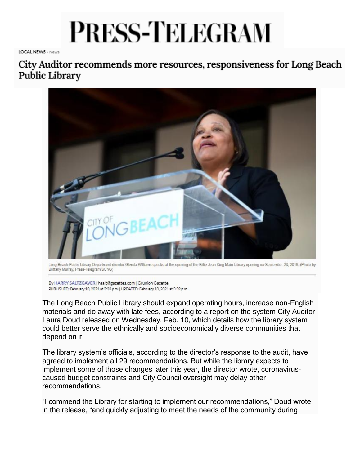## **PRESS-TELEGRAM**

**LOCAL NEWS - News** 

City Auditor recommends more resources, responsiveness for Long Beach **Public Library** 



Long Beach Public Library Department director Glenda Williams speaks at the opening of the Billie Jean King Main Library opening on September 23, 2019. (Photo by Brittany Murray, Press-Telegram/SCNG)

By HARRY SALTZGAVER | hsalt@gazettes.com | Grunion Gazette PUBLISHED: February 10, 2021 at 3:33 p.m. | UPDATED: February 10, 2021 at 3:39 p.m.

The Long Beach Public Library should expand operating hours, increase non-English materials and do away with late fees, according to a report on the system City Auditor Laura Doud released on Wednesday, Feb. 10, which details how the library system could better serve the ethnically and socioeconomically diverse communities that depend on it.

The library system's officials, according to the director's response to the audit, have agreed to implement all 29 recommendations. But while the library expects to implement some of those changes later this year, the director wrote, coronaviruscaused budget constraints and City Council oversight may delay other recommendations.

"I commend the Library for starting to implement our recommendations," Doud wrote in the release, "and quickly adjusting to meet the needs of the community during